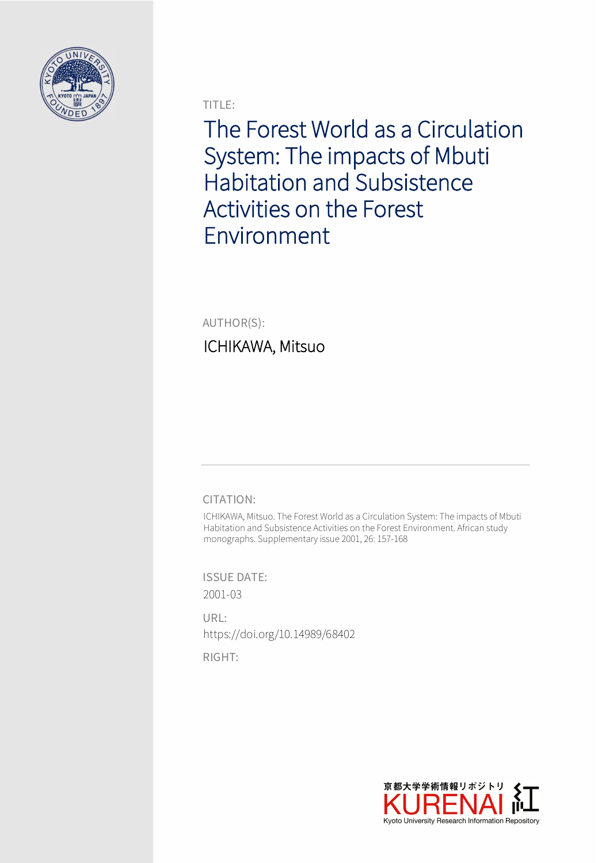

TITLE:

The Forest World as a Circulation System: The impacts of Mbuti Habitation and Subsistence Activities on the Forest Environment

AUTHOR(S):

# ICHIKAWA, Mitsuo

CITATION:

ICHIKAWA, Mitsuo. The Forest World as a Circulation System: The impacts of Mbuti Habitation and Subsistence Activities on the Forest Environment. African study monographs. Supplementary issue 2001, 26: 157-168

ISSUE DATE: 2001-03

URL: https://doi.org/10.14989/68402

RIGHT:

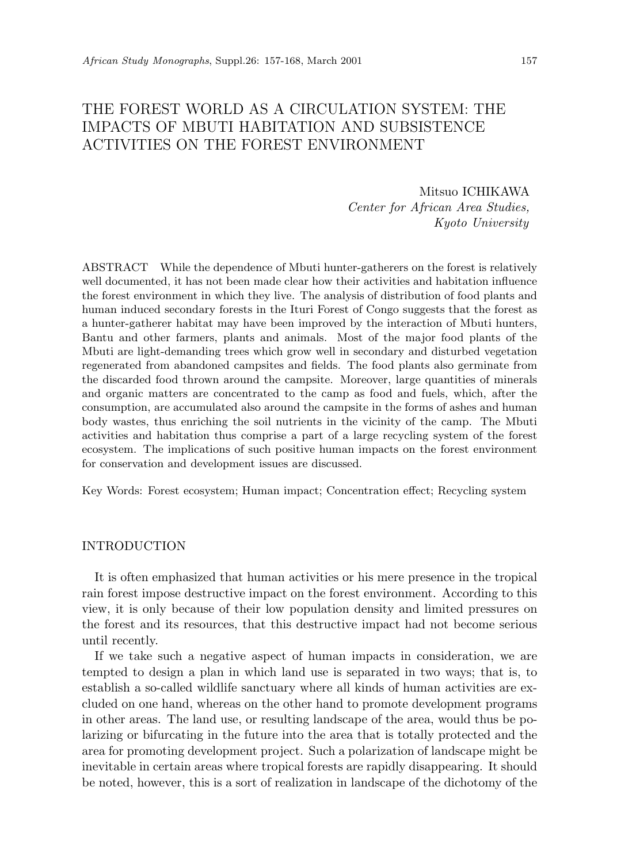# THE FOREST WORLD AS A CIRCULATION SYSTEM: THE IMPACTS OF MBUTI HABITATION AND SUBSISTENCE ACTIVITIES ON THE FOREST ENVIRONMENT

# Mitsuo ICHIKAWA *Center for African Area Studies, Kyoto University*

ABSTRACT While the dependence of Mbuti hunter-gatherers on the forest is relatively well documented, it has not been made clear how their activities and habitation influence the forest environment in which they live. The analysis of distribution of food plants and human induced secondary forests in the Ituri Forest of Congo suggests that the forest as a hunter-gatherer habitat may have been improved by the interaction of Mbuti hunters, Bantu and other farmers, plants and animals. Most of the major food plants of the Mbuti are light-demanding trees which grow well in secondary and disturbed vegetation regenerated from abandoned campsites and fields. The food plants also germinate from the discarded food thrown around the campsite. Moreover, large quantities of minerals and organic matters are concentrated to the camp as food and fuels, which, after the consumption, are accumulated also around the campsite in the forms of ashes and human body wastes, thus enriching the soil nutrients in the vicinity of the camp. The Mbuti activities and habitation thus comprise a part of a large recycling system of the forest ecosystem. The implications of such positive human impacts on the forest environment for conservation and development issues are discussed.

Key Words: Forest ecosystem; Human impact; Concentration effect; Recycling system

### INTRODUCTION

It is often emphasized that human activities or his mere presence in the tropical rain forest impose destructive impact on the forest environment. According to this view, it is only because of their low population density and limited pressures on the forest and its resources, that this destructive impact had not become serious until recently.

If we take such a negative aspect of human impacts in consideration, we are tempted to design a plan in which land use is separated in two ways; that is, to establish a so-called wildlife sanctuary where all kinds of human activities are excluded on one hand, whereas on the other hand to promote development programs in other areas. The land use, or resulting landscape of the area, would thus be polarizing or bifurcating in the future into the area that is totally protected and the area for promoting development project. Such a polarization of landscape might be inevitable in certain areas where tropical forests are rapidly disappearing. It should be noted, however, this is a sort of realization in landscape of the dichotomy of the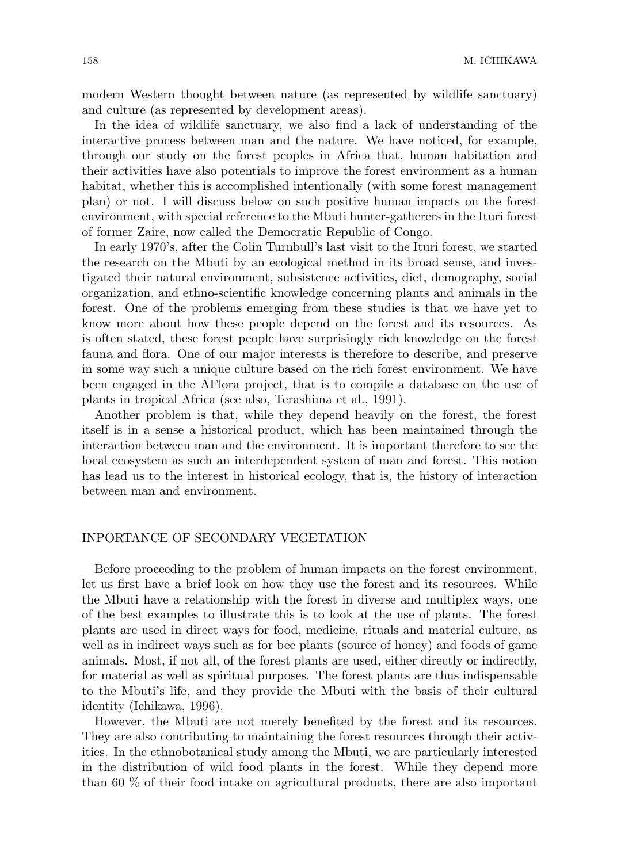modern Western thought between nature (as represented by wildlife sanctuary) and culture (as represented by development areas).

In the idea of wildlife sanctuary, we also find a lack of understanding of the interactive process between man and the nature. We have noticed, for example, through our study on the forest peoples in Africa that, human habitation and their activities have also potentials to improve the forest environment as a human habitat, whether this is accomplished intentionally (with some forest management plan) or not. I will discuss below on such positive human impacts on the forest environment, with special reference to the Mbuti hunter-gatherers in the Ituri forest of former Zaire, now called the Democratic Republic of Congo.

In early 1970's, after the Colin Turnbull's last visit to the Ituri forest, we started the research on the Mbuti by an ecological method in its broad sense, and investigated their natural environment, subsistence activities, diet, demography, social organization, and ethno-scientific knowledge concerning plants and animals in the forest. One of the problems emerging from these studies is that we have yet to know more about how these people depend on the forest and its resources. As is often stated, these forest people have surprisingly rich knowledge on the forest fauna and flora. One of our major interests is therefore to describe, and preserve in some way such a unique culture based on the rich forest environment. We have been engaged in the AFlora project, that is to compile a database on the use of plants in tropical Africa (see also, Terashima et al., 1991).

Another problem is that, while they depend heavily on the forest, the forest itself is in a sense a historical product, which has been maintained through the interaction between man and the environment. It is important therefore to see the local ecosystem as such an interdependent system of man and forest. This notion has lead us to the interest in historical ecology, that is, the history of interaction between man and environment.

## INPORTANCE OF SECONDARY VEGETATION

Before proceeding to the problem of human impacts on the forest environment, let us first have a brief look on how they use the forest and its resources. While the Mbuti have a relationship with the forest in diverse and multiplex ways, one of the best examples to illustrate this is to look at the use of plants. The forest plants are used in direct ways for food, medicine, rituals and material culture, as well as in indirect ways such as for bee plants (source of honey) and foods of game animals. Most, if not all, of the forest plants are used, either directly or indirectly, for material as well as spiritual purposes. The forest plants are thus indispensable to the Mbuti's life, and they provide the Mbuti with the basis of their cultural identity (Ichikawa, 1996).

However, the Mbuti are not merely benefited by the forest and its resources. They are also contributing to maintaining the forest resources through their activities. In the ethnobotanical study among the Mbuti, we are particularly interested in the distribution of wild food plants in the forest. While they depend more than 60 % of their food intake on agricultural products, there are also important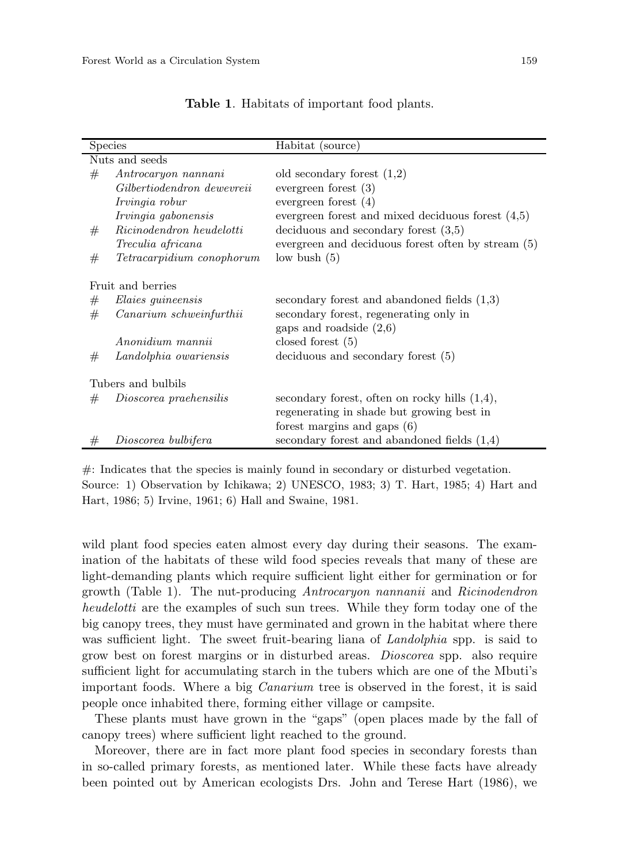| <b>Species</b>     |                            | Habitat (source)                                    |  |  |  |
|--------------------|----------------------------|-----------------------------------------------------|--|--|--|
| Nuts and seeds     |                            |                                                     |  |  |  |
| #                  | Antrocaryon nannani        | old secondary forest $(1,2)$                        |  |  |  |
|                    | Gilbertiodendron dewevreii | evergreen forest $(3)$                              |  |  |  |
|                    | Irvingia robur             | evergreen forest $(4)$                              |  |  |  |
|                    | Irvingia gabonensis        | evergreen forest and mixed deciduous forest $(4,5)$ |  |  |  |
| #                  | Ricinodendron heudelotti   | deciduous and secondary forest $(3,5)$              |  |  |  |
|                    | Treculia africana          | evergreen and deciduous forest often by stream (5)  |  |  |  |
| #                  | Tetracarpidium conophorum  | low bush $(5)$                                      |  |  |  |
| Fruit and berries  |                            |                                                     |  |  |  |
| #                  | <i>Elaies guineensis</i>   | secondary forest and abandoned fields $(1,3)$       |  |  |  |
| #                  | Canarium schweinfurthii    | secondary forest, regenerating only in              |  |  |  |
|                    |                            | gaps and roadside $(2,6)$                           |  |  |  |
|                    | Anonidium mannii           | closed forest $(5)$                                 |  |  |  |
| #                  | Landolphia owariensis      | $\alpha$ deciduous and secondary forest $(5)$       |  |  |  |
| Tubers and bulbils |                            |                                                     |  |  |  |
| #                  | Dioscorea praehensilis     | secondary forest, often on rocky hills $(1,4)$ ,    |  |  |  |
|                    |                            | regenerating in shade but growing best in           |  |  |  |
|                    |                            | forest margins and gaps $(6)$                       |  |  |  |
|                    |                            |                                                     |  |  |  |
| #                  | Dioscorea bulbifera        | secondary forest and abandoned fields $(1,4)$       |  |  |  |

**Table 1**. Habitats of important food plants.

#: Indicates that the species is mainly found in secondary or disturbed vegetation. Source: 1) Observation by Ichikawa; 2) UNESCO, 1983; 3) T. Hart, 1985; 4) Hart and Hart, 1986; 5) Irvine, 1961; 6) Hall and Swaine, 1981.

wild plant food species eaten almost every day during their seasons. The examination of the habitats of these wild food species reveals that many of these are light-demanding plants which require sufficient light either for germination or for growth (Table 1). The nut-producing *Antrocaryon nannanii* and *Ricinodendron heudelotti* are the examples of such sun trees. While they form today one of the big canopy trees, they must have germinated and grown in the habitat where there was sufficient light. The sweet fruit-bearing liana of *Landolphia* spp. is said to grow best on forest margins or in disturbed areas. *Dioscorea* spp. also require sufficient light for accumulating starch in the tubers which are one of the Mbuti's important foods. Where a big *Canarium* tree is observed in the forest, it is said people once inhabited there, forming either village or campsite.

These plants must have grown in the "gaps" (open places made by the fall of canopy trees) where sufficient light reached to the ground.

Moreover, there are in fact more plant food species in secondary forests than in so-called primary forests, as mentioned later. While these facts have already been pointed out by American ecologists Drs. John and Terese Hart (1986), we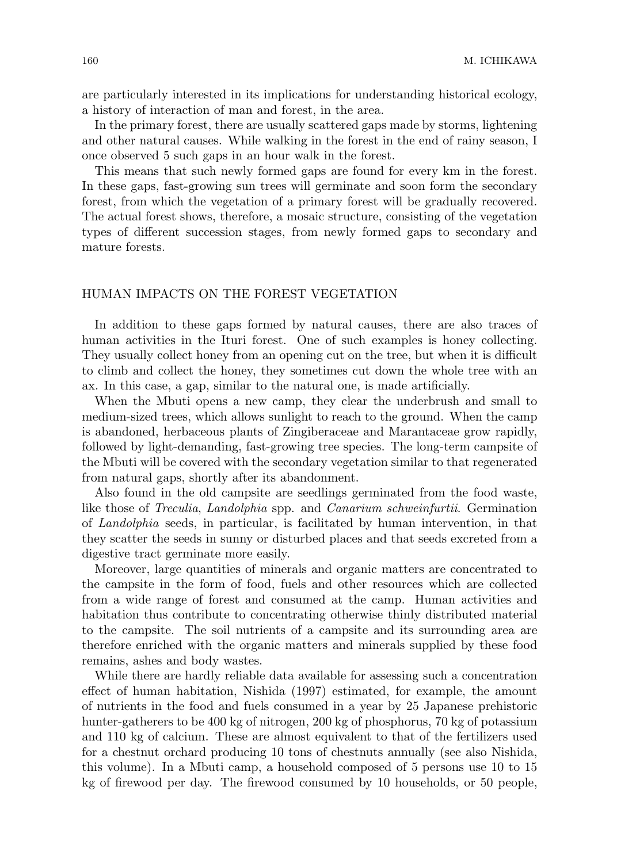are particularly interested in its implications for understanding historical ecology, a history of interaction of man and forest, in the area.

In the primary forest, there are usually scattered gaps made by storms, lightening and other natural causes. While walking in the forest in the end of rainy season, I once observed 5 such gaps in an hour walk in the forest.

This means that such newly formed gaps are found for every km in the forest. In these gaps, fast-growing sun trees will germinate and soon form the secondary forest, from which the vegetation of a primary forest will be gradually recovered. The actual forest shows, therefore, a mosaic structure, consisting of the vegetation types of different succession stages, from newly formed gaps to secondary and mature forests.

## HUMAN IMPACTS ON THE FOREST VEGETATION

In addition to these gaps formed by natural causes, there are also traces of human activities in the Ituri forest. One of such examples is honey collecting. They usually collect honey from an opening cut on the tree, but when it is difficult to climb and collect the honey, they sometimes cut down the whole tree with an ax. In this case, a gap, similar to the natural one, is made artificially.

When the Mbuti opens a new camp, they clear the underbrush and small to medium-sized trees, which allows sunlight to reach to the ground. When the camp is abandoned, herbaceous plants of Zingiberaceae and Marantaceae grow rapidly, followed by light-demanding, fast-growing tree species. The long-term campsite of the Mbuti will be covered with the secondary vegetation similar to that regenerated from natural gaps, shortly after its abandonment.

Also found in the old campsite are seedlings germinated from the food waste, like those of *Treculia*, *Landolphia* spp. and *Canarium schweinfurtii*. Germination of *Landolphia* seeds, in particular, is facilitated by human intervention, in that they scatter the seeds in sunny or disturbed places and that seeds excreted from a digestive tract germinate more easily.

Moreover, large quantities of minerals and organic matters are concentrated to the campsite in the form of food, fuels and other resources which are collected from a wide range of forest and consumed at the camp. Human activities and habitation thus contribute to concentrating otherwise thinly distributed material to the campsite. The soil nutrients of a campsite and its surrounding area are therefore enriched with the organic matters and minerals supplied by these food remains, ashes and body wastes.

While there are hardly reliable data available for assessing such a concentration effect of human habitation, Nishida (1997) estimated, for example, the amount of nutrients in the food and fuels consumed in a year by 25 Japanese prehistoric hunter-gatherers to be 400 kg of nitrogen, 200 kg of phosphorus, 70 kg of potassium and 110 kg of calcium. These are almost equivalent to that of the fertilizers used for a chestnut orchard producing 10 tons of chestnuts annually (see also Nishida, this volume). In a Mbuti camp, a household composed of 5 persons use 10 to 15 kg of firewood per day. The firewood consumed by 10 households, or 50 people,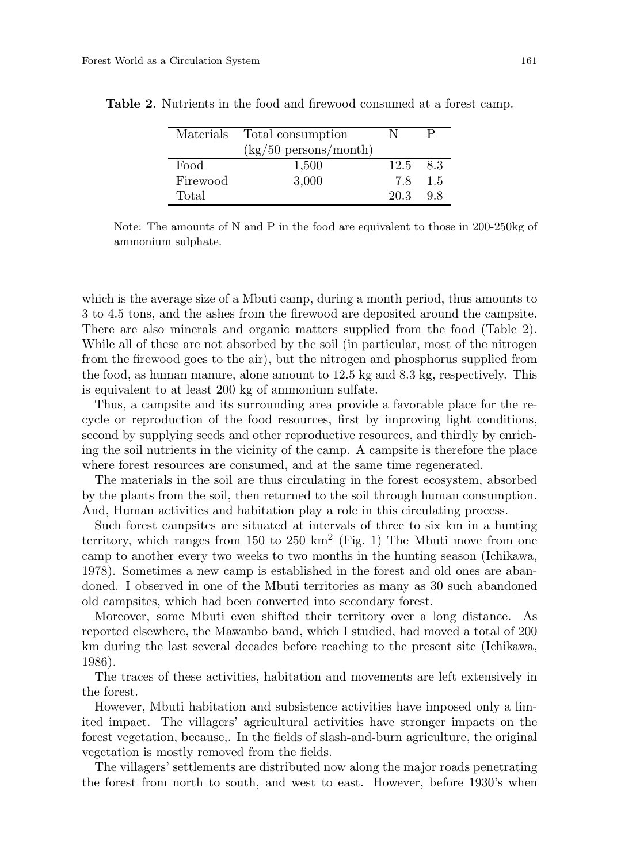| Materials | Total consumption                     |      |     |
|-----------|---------------------------------------|------|-----|
|           | $\frac{\text{kg}}{50}$ persons/month) |      |     |
| Food      | 1,500                                 | 12.5 | 8.3 |
| Firewood  | 3,000                                 | 7.8  | 1.5 |
| Total     |                                       | 20.3 | 98  |

**Table 2**. Nutrients in the food and firewood consumed at a forest camp.

Note: The amounts of N and P in the food are equivalent to those in 200-250kg of ammonium sulphate.

which is the average size of a Mbuti camp, during a month period, thus amounts to 3 to 4.5 tons, and the ashes from the firewood are deposited around the campsite. There are also minerals and organic matters supplied from the food (Table 2). While all of these are not absorbed by the soil (in particular, most of the nitrogen from the firewood goes to the air), but the nitrogen and phosphorus supplied from the food, as human manure, alone amount to 12.5 kg and 8.3 kg, respectively. This is equivalent to at least 200 kg of ammonium sulfate.

Thus, a campsite and its surrounding area provide a favorable place for the recycle or reproduction of the food resources, first by improving light conditions, second by supplying seeds and other reproductive resources, and thirdly by enriching the soil nutrients in the vicinity of the camp. A campsite is therefore the place where forest resources are consumed, and at the same time regenerated.

The materials in the soil are thus circulating in the forest ecosystem, absorbed by the plants from the soil, then returned to the soil through human consumption. And, Human activities and habitation play a role in this circulating process.

Such forest campsites are situated at intervals of three to six km in a hunting territory, which ranges from  $150$  to  $250 \text{ km}^2$  (Fig. 1) The Mbuti move from one camp to another every two weeks to two months in the hunting season (Ichikawa, 1978). Sometimes a new camp is established in the forest and old ones are abandoned. I observed in one of the Mbuti territories as many as 30 such abandoned old campsites, which had been converted into secondary forest.

Moreover, some Mbuti even shifted their territory over a long distance. As reported elsewhere, the Mawanbo band, which I studied, had moved a total of 200 km during the last several decades before reaching to the present site (Ichikawa, 1986).

The traces of these activities, habitation and movements are left extensively in the forest.

However, Mbuti habitation and subsistence activities have imposed only a limited impact. The villagers' agricultural activities have stronger impacts on the forest vegetation, because,. In the fields of slash-and-burn agriculture, the original vegetation is mostly removed from the fields.

The villagers' settlements are distributed now along the major roads penetrating the forest from north to south, and west to east. However, before 1930's when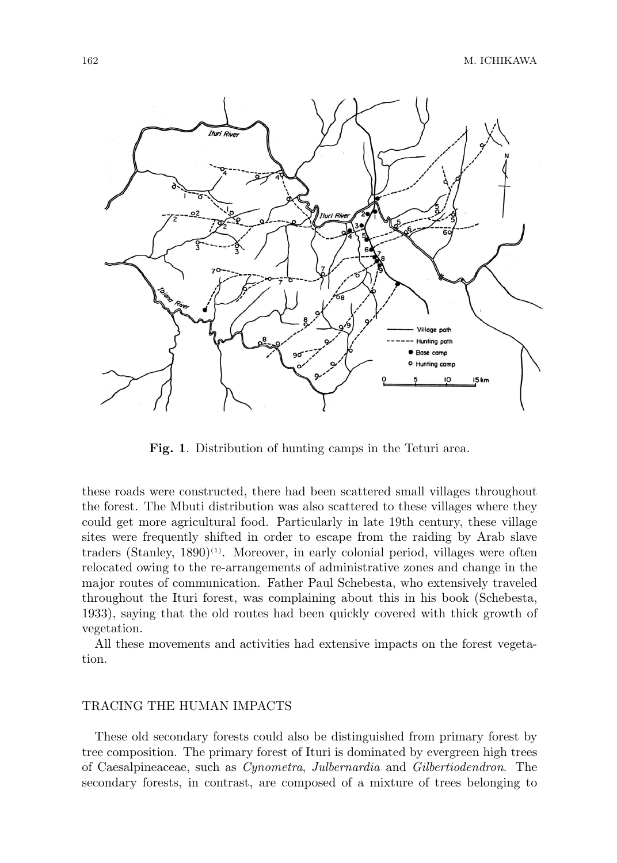

**Fig. 1**. Distribution of hunting camps in the Teturi area.

these roads were constructed, there had been scattered small villages throughout the forest. The Mbuti distribution was also scattered to these villages where they could get more agricultural food. Particularly in late 19th century, these village sites were frequently shifted in order to escape from the raiding by Arab slave traders (Stanley,  $1890)^{(1)}$ . Moreover, in early colonial period, villages were often relocated owing to the re-arrangements of administrative zones and change in the major routes of communication. Father Paul Schebesta, who extensively traveled throughout the Ituri forest, was complaining about this in his book (Schebesta, 1933), saying that the old routes had been quickly covered with thick growth of vegetation.

All these movements and activities had extensive impacts on the forest vegetation.

### TRACING THE HUMAN IMPACTS

These old secondary forests could also be distinguished from primary forest by tree composition. The primary forest of Ituri is dominated by evergreen high trees of Caesalpineaceae, such as *Cynometra*, *Julbernardia* and *Gilbertiodendron*. The secondary forests, in contrast, are composed of a mixture of trees belonging to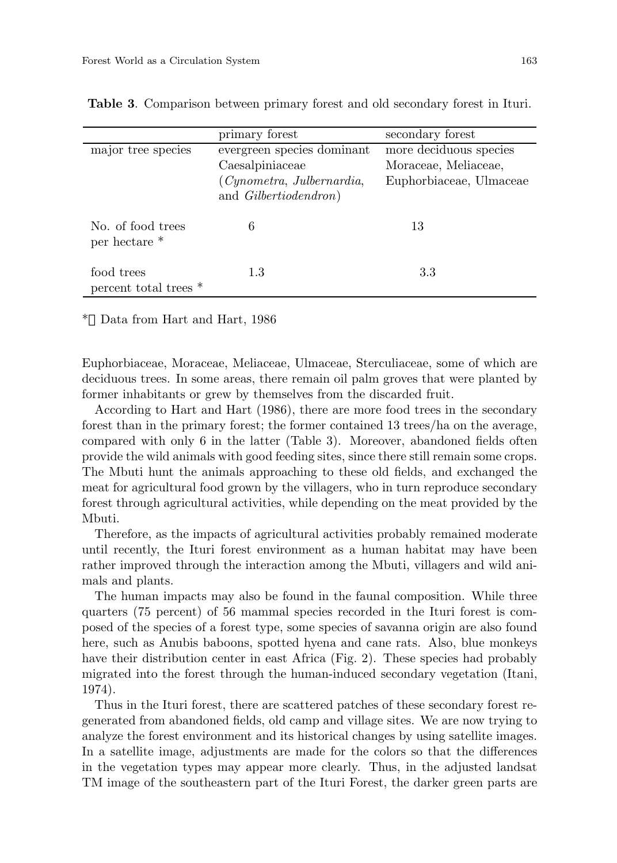|                                     | primary forest             | secondary forest        |
|-------------------------------------|----------------------------|-------------------------|
| major tree species                  | evergreen species dominant | more deciduous species  |
|                                     | Caesalpiniaceae            | Moraceae, Meliaceae,    |
|                                     | (Cynometra, Julbernardia,  | Euphorbiaceae, Ulmaceae |
|                                     | and Gilbertiodendron)      |                         |
| No. of food trees<br>per hectare *  | 6                          | 13                      |
| food trees<br>percent total trees * | 1.3                        | 3.3                     |

**Table 3**. Comparison between primary forest and old secondary forest in Ituri.

Data from Hart and Hart, 1986

Euphorbiaceae, Moraceae, Meliaceae, Ulmaceae, Sterculiaceae, some of which are deciduous trees. In some areas, there remain oil palm groves that were planted by former inhabitants or grew by themselves from the discarded fruit.

According to Hart and Hart (1986), there are more food trees in the secondary forest than in the primary forest; the former contained 13 trees/ha on the average, compared with only 6 in the latter (Table 3). Moreover, abandoned fields often provide the wild animals with good feeding sites, since there still remain some crops. The Mbuti hunt the animals approaching to these old fields, and exchanged the meat for agricultural food grown by the villagers, who in turn reproduce secondary forest through agricultural activities, while depending on the meat provided by the Mbuti.

Therefore, as the impacts of agricultural activities probably remained moderate until recently, the Ituri forest environment as a human habitat may have been rather improved through the interaction among the Mbuti, villagers and wild animals and plants.

The human impacts may also be found in the faunal composition. While three quarters (75 percent) of 56 mammal species recorded in the Ituri forest is composed of the species of a forest type, some species of savanna origin are also found here, such as Anubis baboons, spotted hyena and cane rats. Also, blue monkeys have their distribution center in east Africa (Fig. 2). These species had probably migrated into the forest through the human-induced secondary vegetation (Itani, 1974).

Thus in the Ituri forest, there are scattered patches of these secondary forest regenerated from abandoned fields, old camp and village sites. We are now trying to analyze the forest environment and its historical changes by using satellite images. In a satellite image, adjustments are made for the colors so that the differences in the vegetation types may appear more clearly. Thus, in the adjusted landsat TM image of the southeastern part of the Ituri Forest, the darker green parts are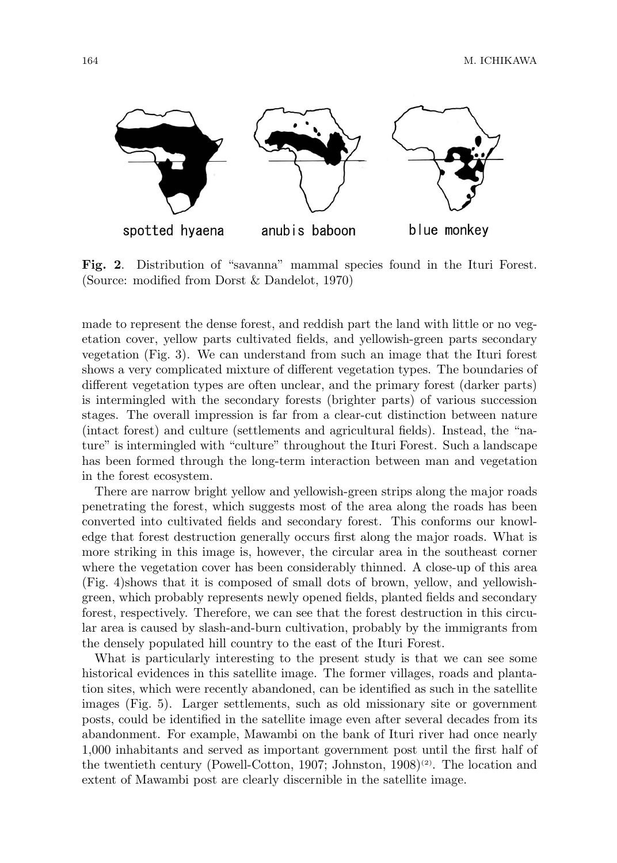164 M. ICHIKAWA



**Fig. 2**. Distribution of "savanna" mammal species found in the Ituri Forest. (Source: modified from Dorst & Dandelot, 1970)

made to represent the dense forest, and reddish part the land with little or no vegetation cover, yellow parts cultivated fields, and yellowish-green parts secondary vegetation (Fig. 3). We can understand from such an image that the Ituri forest shows a very complicated mixture of different vegetation types. The boundaries of different vegetation types are often unclear, and the primary forest (darker parts) is intermingled with the secondary forests (brighter parts) of various succession stages. The overall impression is far from a clear-cut distinction between nature (intact forest) and culture (settlements and agricultural fields). Instead, the "nature" is intermingled with "culture" throughout the Ituri Forest. Such a landscape has been formed through the long-term interaction between man and vegetation in the forest ecosystem.

There are narrow bright yellow and yellowish-green strips along the major roads penetrating the forest, which suggests most of the area along the roads has been converted into cultivated fields and secondary forest. This conforms our knowledge that forest destruction generally occurs first along the major roads. What is more striking in this image is, however, the circular area in the southeast corner where the vegetation cover has been considerably thinned. A close-up of this area (Fig. 4)shows that it is composed of small dots of brown, yellow, and yellowishgreen, which probably represents newly opened fields, planted fields and secondary forest, respectively. Therefore, we can see that the forest destruction in this circular area is caused by slash-and-burn cultivation, probably by the immigrants from the densely populated hill country to the east of the Ituri Forest.

What is particularly interesting to the present study is that we can see some historical evidences in this satellite image. The former villages, roads and plantation sites, which were recently abandoned, can be identified as such in the satellite images (Fig. 5). Larger settlements, such as old missionary site or government posts, could be identified in the satellite image even after several decades from its abandonment. For example, Mawambi on the bank of Ituri river had once nearly 1,000 inhabitants and served as important government post until the first half of the twentieth century (Powell-Cotton, 1907; Johnston, 1908)<sup>(2)</sup>. The location and extent of Mawambi post are clearly discernible in the satellite image.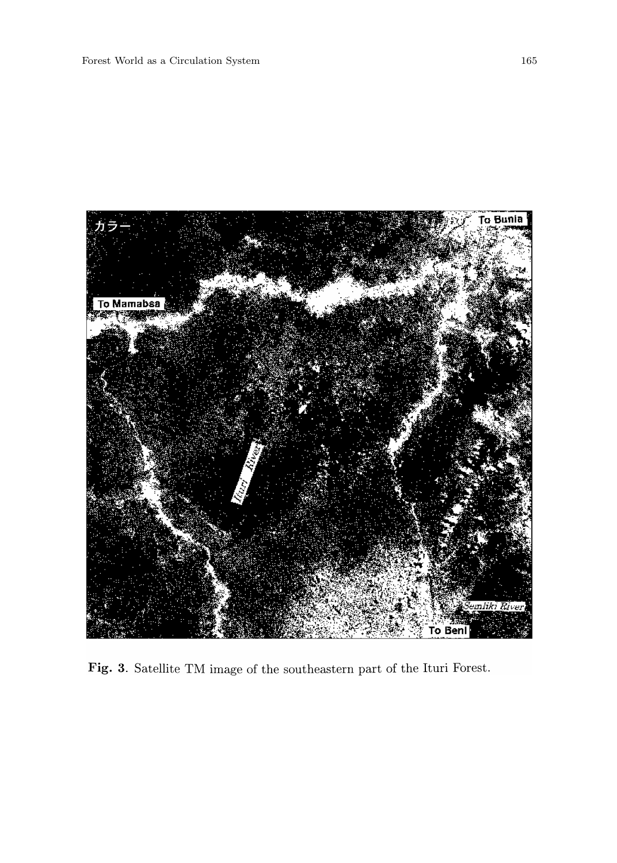

Fig. 3. Satellite TM image of the southeastern part of the Ituri Forest.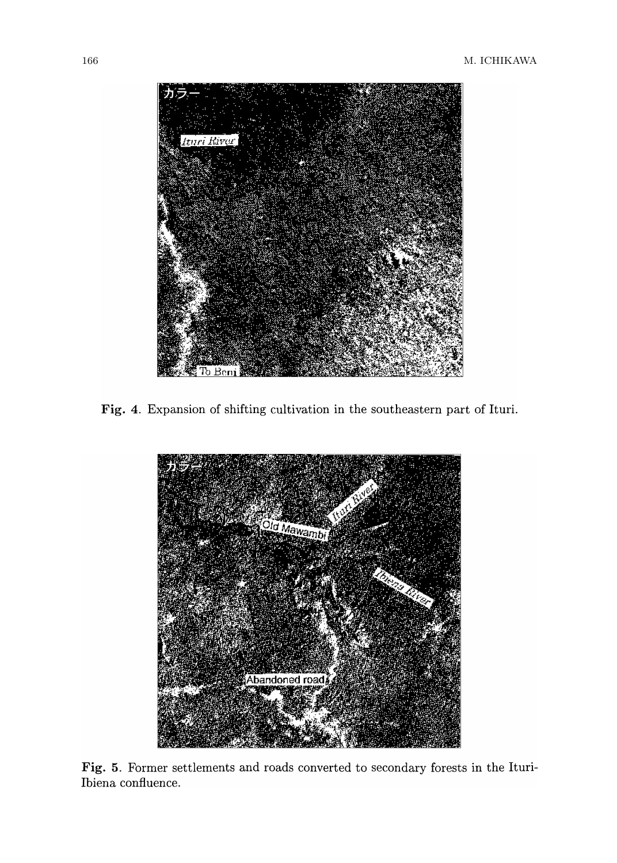

Fig. 4. Expansion of shifting cultivation in the southeastern part of Ituri.



Fig. 5. Former settlements and roads converted to secondary forests in the Ituri-Ibiena confluence.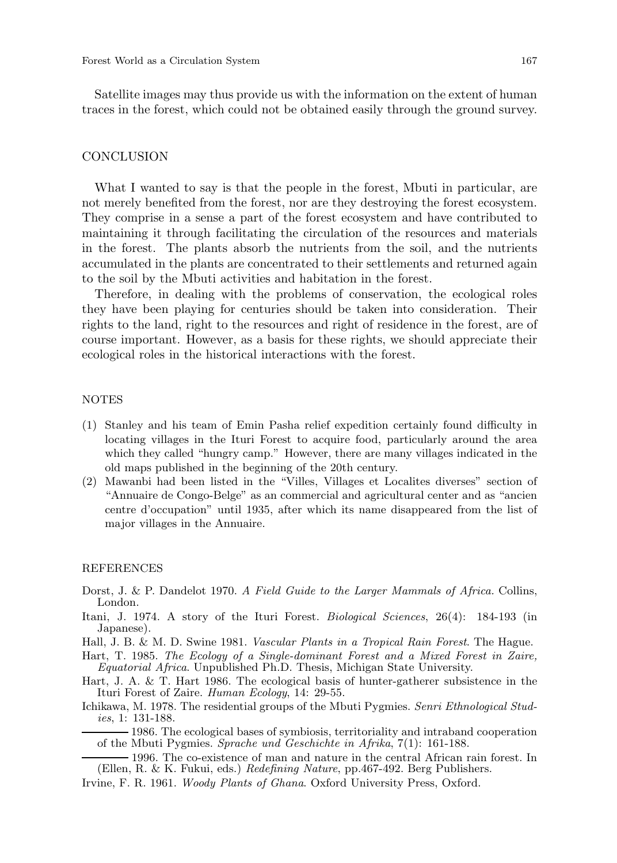Satellite images may thus provide us with the information on the extent of human traces in the forest, which could not be obtained easily through the ground survey.

#### CONCLUSION

What I wanted to say is that the people in the forest, Mbuti in particular, are not merely benefited from the forest, nor are they destroying the forest ecosystem. They comprise in a sense a part of the forest ecosystem and have contributed to maintaining it through facilitating the circulation of the resources and materials in the forest. The plants absorb the nutrients from the soil, and the nutrients accumulated in the plants are concentrated to their settlements and returned again to the soil by the Mbuti activities and habitation in the forest.

Therefore, in dealing with the problems of conservation, the ecological roles they have been playing for centuries should be taken into consideration. Their rights to the land, right to the resources and right of residence in the forest, are of course important. However, as a basis for these rights, we should appreciate their ecological roles in the historical interactions with the forest.

#### NOTES

- (1) Stanley and his team of Emin Pasha relief expedition certainly found difficulty in locating villages in the Ituri Forest to acquire food, particularly around the area which they called "hungry camp." However, there are many villages indicated in the old maps published in the beginning of the 20th century.
- (2) Mawanbi had been listed in the "Villes, Villages et Localites diverses" section of "Annuaire de Congo-Belge" as an commercial and agricultural center and as "ancien centre d'occupation" until 1935, after which its name disappeared from the list of major villages in the Annuaire.

#### **REFERENCES**

- Dorst, J. & P. Dandelot 1970. *A Field Guide to the Larger Mammals of Africa.* Collins, London.
- Itani, J. 1974. A story of the Ituri Forest. *Biological Sciences*, 26(4): 184-193 (in Japanese).
- Hall, J. B. & M. D. Swine 1981. *Vascular Plants in a Tropical Rain Forest*. The Hague.
- Hart, T. 1985. *The Ecology of a Single-dominant Forest and a Mixed Forest in Zaire, Equatorial Africa*. Unpublished Ph.D. Thesis, Michigan State University.
- Hart, J. A. & T. Hart 1986. The ecological basis of hunter-gatherer subsistence in the Ituri Forest of Zaire. *Human Ecology*, 14: 29-55.
- Ichikawa, M. 1978. The residential groups of the Mbuti Pygmies. *Senri Ethnological Studies*, 1: 131-188.
	- 1986. The ecological bases of symbiosis, territoriality and intraband cooperation of the Mbuti Pygmies. *Sprache und Geschichte in Afrika*, 7(1): 161-188.
- 1996. The co-existence of man and nature in the central African rain forest. In (Ellen, R. & K. Fukui, eds.) *Redefining Nature*, pp.467-492. Berg Publishers.
- Irvine, F. R. 1961. *Woody Plants of Ghana*. Oxford University Press, Oxford.